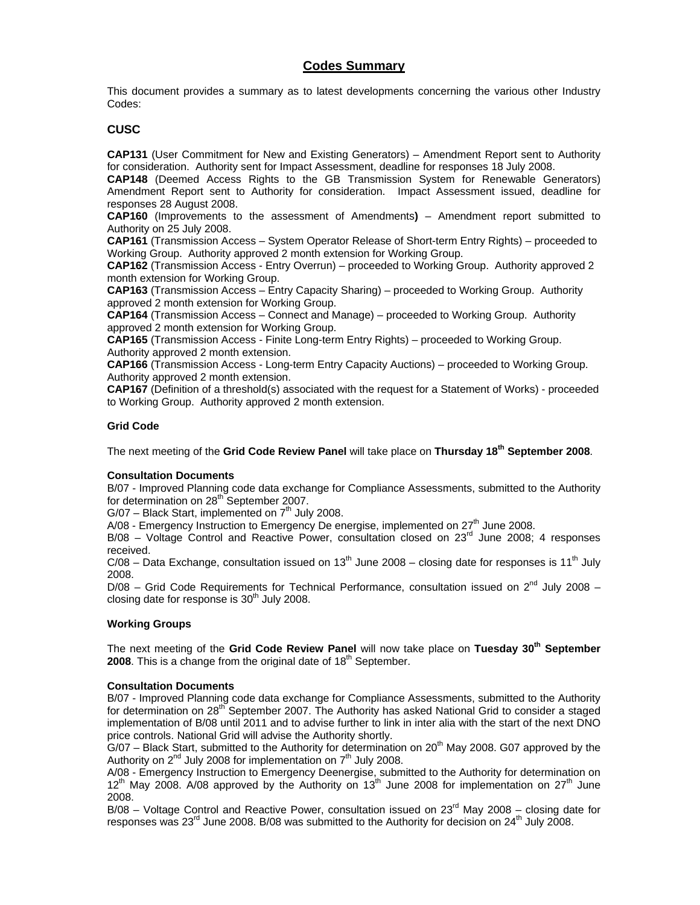# **Codes Summary**

This document provides a summary as to latest developments concerning the various other Industry Codes:

# **CUSC**

**CAP131** (User Commitment for New and Existing Generators) – Amendment Report sent to Authority for consideration. Authority sent for Impact Assessment, deadline for responses 18 July 2008.

**CAP148** (Deemed Access Rights to the GB Transmission System for Renewable Generators) Amendment Report sent to Authority for consideration. Impact Assessment issued, deadline for responses 28 August 2008.

**CAP160** (Improvements to the assessment of Amendments**)** – Amendment report submitted to Authority on 25 July 2008.

**CAP161** (Transmission Access – System Operator Release of Short-term Entry Rights) – proceeded to Working Group. Authority approved 2 month extension for Working Group.

**CAP162** (Transmission Access - Entry Overrun) – proceeded to Working Group. Authority approved 2 month extension for Working Group.

**CAP163** (Transmission Access – Entry Capacity Sharing) – proceeded to Working Group. Authority approved 2 month extension for Working Group.

**CAP164** (Transmission Access – Connect and Manage) – proceeded to Working Group. Authority approved 2 month extension for Working Group.

**CAP165** (Transmission Access - Finite Long-term Entry Rights) – proceeded to Working Group. Authority approved 2 month extension.

**CAP166** (Transmission Access - Long-term Entry Capacity Auctions) – proceeded to Working Group. Authority approved 2 month extension.

**CAP167** (Definition of a threshold(s) associated with the request for a Statement of Works) - proceeded to Working Group. Authority approved 2 month extension.

## **Grid Code**

The next meeting of the **Grid Code Review Panel** will take place on **Thursday 18th September 2008**.

### **Consultation Documents**

B/07 - Improved Planning code data exchange for Compliance Assessments, submitted to the Authority for determination on 28<sup>th</sup> September 2007.

 $G/07$  – Black Start, implemented on  $7<sup>th</sup>$  July 2008.

 $A/08$  - Emergency Instruction to Emergency De energise, implemented on  $27<sup>th</sup>$  June 2008.

 $B/08$  – Voltage Control and Reactive Power, consultation closed on  $23<sup>rd</sup>$  June 2008; 4 responses received.

 $C/08$  – Data Exchange, consultation issued on 13<sup>th</sup> June 2008 – closing date for responses is 11<sup>th</sup> July 2008.

 $D/08$  – Grid Code Requirements for Technical Performance, consultation issued on  $2^{nd}$  July 2008 – closing date for response is  $30<sup>th</sup>$  July 2008.

### **Working Groups**

The next meeting of the **Grid Code Review Panel** will now take place on **Tuesday 30th September 2008**. This is a change from the original date of 18<sup>th</sup> September.

### **Consultation Documents**

B/07 - Improved Planning code data exchange for Compliance Assessments, submitted to the Authority for determination on 28<sup>th</sup> September 2007. The Authority has asked National Grid to consider a staged implementation of B/08 until 2011 and to advise further to link in inter alia with the start of the next DNO price controls. National Grid will advise the Authority shortly.

 $G/07$  – Black Start, submitted to the Authority for determination on  $20<sup>th</sup>$  May 2008. G07 approved by the Authority on  $2<sup>nd</sup>$  July 2008 for implementation on  $7<sup>th</sup>$  July 2008.

A/08 - Emergency Instruction to Emergency Deenergise, submitted to the Authority for determination on  $12^{th}$  May 2008. A/08 approved by the Authority on  $13^{th}$  June 2008 for implementation on  $27^{th}$  June 2008.

 $B/08$  – Voltage Control and Reactive Power, consultation issued on  $23<sup>rd</sup>$  May 2008 – closing date for responses was  $23^{\text{rd}}$  June 2008. B/08 was submitted to the Authority for decision on  $24^{\text{th}}$  July 2008.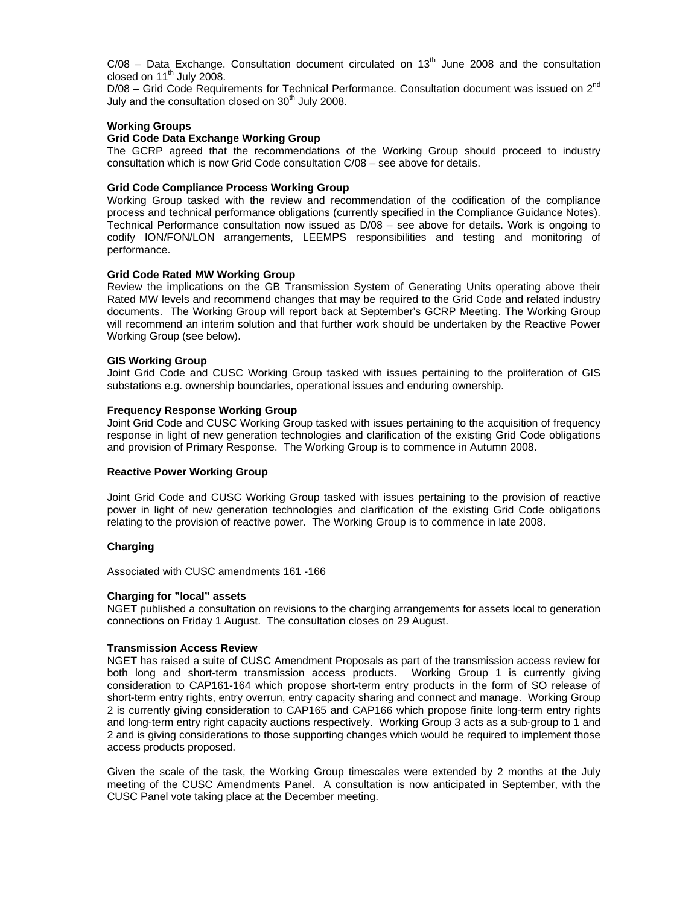$C/08$  – Data Exchange. Consultation document circulated on 13<sup>th</sup> June 2008 and the consultation closed on  $11<sup>th</sup>$  July 2008.

 $D/08$  – Grid Code Requirements for Technical Performance. Consultation document was issued on  $2^{nd}$ July and the consultation closed on  $30<sup>th</sup>$  July 2008.

### **Working Groups**

### **Grid Code Data Exchange Working Group**

The GCRP agreed that the recommendations of the Working Group should proceed to industry consultation which is now Grid Code consultation C/08 – see above for details.

### **Grid Code Compliance Process Working Group**

Working Group tasked with the review and recommendation of the codification of the compliance process and technical performance obligations (currently specified in the Compliance Guidance Notes). Technical Performance consultation now issued as D/08 – see above for details. Work is ongoing to codify ION/FON/LON arrangements, LEEMPS responsibilities and testing and monitoring of performance.

### **Grid Code Rated MW Working Group**

Review the implications on the GB Transmission System of Generating Units operating above their Rated MW levels and recommend changes that may be required to the Grid Code and related industry documents. The Working Group will report back at September's GCRP Meeting. The Working Group will recommend an interim solution and that further work should be undertaken by the Reactive Power Working Group (see below).

### **GIS Working Group**

Joint Grid Code and CUSC Working Group tasked with issues pertaining to the proliferation of GIS substations e.g. ownership boundaries, operational issues and enduring ownership.

### **Frequency Response Working Group**

Joint Grid Code and CUSC Working Group tasked with issues pertaining to the acquisition of frequency response in light of new generation technologies and clarification of the existing Grid Code obligations and provision of Primary Response. The Working Group is to commence in Autumn 2008.

### **Reactive Power Working Group**

Joint Grid Code and CUSC Working Group tasked with issues pertaining to the provision of reactive power in light of new generation technologies and clarification of the existing Grid Code obligations relating to the provision of reactive power. The Working Group is to commence in late 2008.

### **Charging**

Associated with CUSC amendments 161 -166

### **Charging for "local" assets**

NGET published a consultation on revisions to the charging arrangements for assets local to generation connections on Friday 1 August. The consultation closes on 29 August.

### **Transmission Access Review**

NGET has raised a suite of CUSC Amendment Proposals as part of the transmission access review for both long and short-term transmission access products. Working Group 1 is currently giving consideration to CAP161-164 which propose short-term entry products in the form of SO release of short-term entry rights, entry overrun, entry capacity sharing and connect and manage. Working Group 2 is currently giving consideration to CAP165 and CAP166 which propose finite long-term entry rights and long-term entry right capacity auctions respectively. Working Group 3 acts as a sub-group to 1 and 2 and is giving considerations to those supporting changes which would be required to implement those access products proposed.

Given the scale of the task, the Working Group timescales were extended by 2 months at the July meeting of the CUSC Amendments Panel. A consultation is now anticipated in September, with the CUSC Panel vote taking place at the December meeting.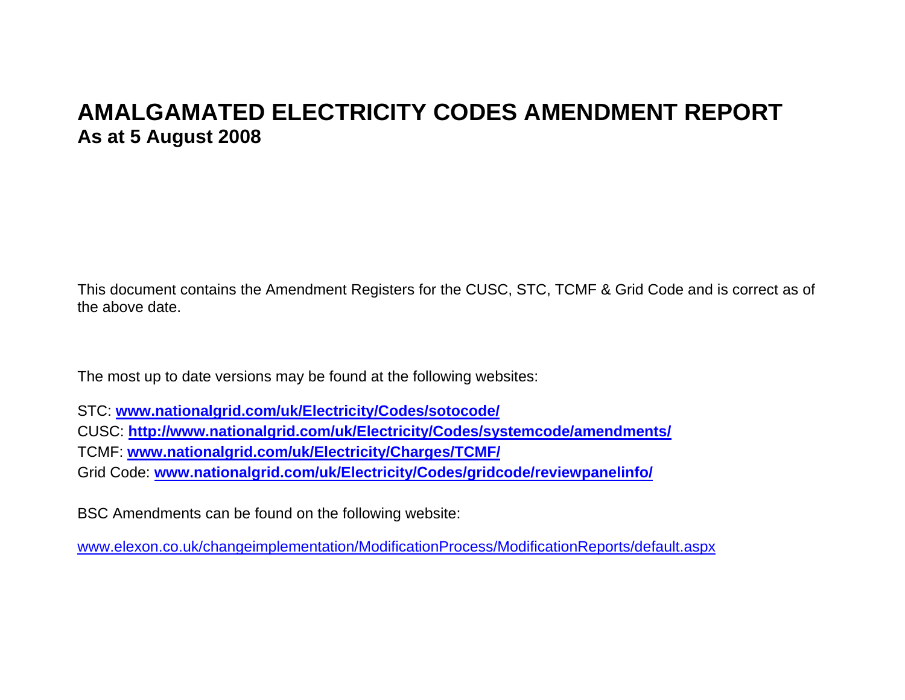# **AMALGAMATED ELECTRICITY CODES AMENDMENT REPORT As at 5 August 2008**

This document contains the Amendment Registers for the CUSC, STC, TCMF & Grid Code and is correct as of the above date.

The most up to date versions may be found at the following websites:

STC: **www.nationalgrid.com/uk/Electricity/Codes/sotocode/**

CUSC: **http://www.nationalgrid.com/uk/Electricity/Codes/systemcode/amendments/**

TCMF: **www.nationalgrid.com/uk/Electricity/Charges/TCMF/**

Grid Code: **www.nationalgrid.com/uk/Electricity/Codes/gridcode/reviewpanelinfo/**

BSC Amendments can be found on the following website:

www.elexon.co.uk/changeimplementation/ModificationProcess/ModificationReports/default.aspx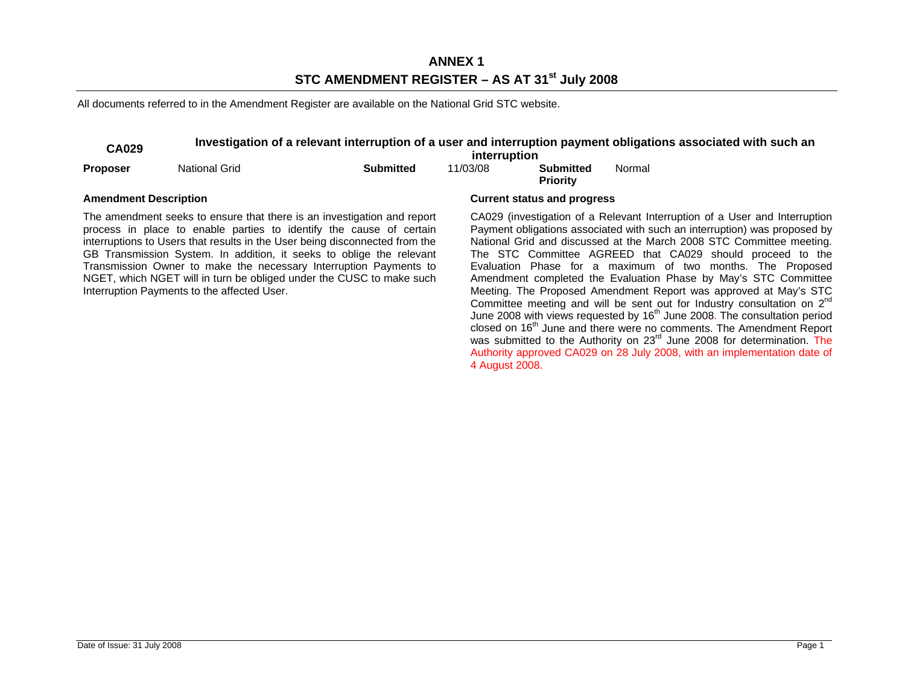# **ANNEX 1 STC AMENDMENT REGISTER – AS AT 31st July 2008**

All documents referred to in the Amendment Register are available on the National Grid STC website.

# **CA029** Investigation of a relevant interruption of a user and interruption payment obligations associated with such an

|                              |                                             |                                                                                                                                                                                                                                                                                                                                                                                                                                                    | interruption |                                     |        |                                                                                                                                                                                                                                                                                                                                                                                                                                                                                                                                                                                                                                                                                                                                                                                                                                                                                                                                          |
|------------------------------|---------------------------------------------|----------------------------------------------------------------------------------------------------------------------------------------------------------------------------------------------------------------------------------------------------------------------------------------------------------------------------------------------------------------------------------------------------------------------------------------------------|--------------|-------------------------------------|--------|------------------------------------------------------------------------------------------------------------------------------------------------------------------------------------------------------------------------------------------------------------------------------------------------------------------------------------------------------------------------------------------------------------------------------------------------------------------------------------------------------------------------------------------------------------------------------------------------------------------------------------------------------------------------------------------------------------------------------------------------------------------------------------------------------------------------------------------------------------------------------------------------------------------------------------------|
| <b>Proposer</b>              | <b>National Grid</b>                        | <b>Submitted</b>                                                                                                                                                                                                                                                                                                                                                                                                                                   | 11/03/08     | <b>Submitted</b><br><b>Priority</b> | Normal |                                                                                                                                                                                                                                                                                                                                                                                                                                                                                                                                                                                                                                                                                                                                                                                                                                                                                                                                          |
| <b>Amendment Description</b> |                                             |                                                                                                                                                                                                                                                                                                                                                                                                                                                    |              | <b>Current status and progress</b>  |        |                                                                                                                                                                                                                                                                                                                                                                                                                                                                                                                                                                                                                                                                                                                                                                                                                                                                                                                                          |
|                              | Interruption Payments to the affected User. | The amendment seeks to ensure that there is an investigation and report<br>process in place to enable parties to identify the cause of certain<br>interruptions to Users that results in the User being disconnected from the<br>GB Transmission System. In addition, it seeks to oblige the relevant<br>Transmission Owner to make the necessary Interruption Payments to<br>NGET, which NGET will in turn be obliged under the CUSC to make such |              |                                     |        | CA029 (investigation of a Relevant Interruption of a User and Interruption<br>Payment obligations associated with such an interruption) was proposed by<br>National Grid and discussed at the March 2008 STC Committee meeting.<br>The STC Committee AGREED that CA029 should proceed to the<br>Evaluation Phase for a maximum of two months. The Proposed<br>Amendment completed the Evaluation Phase by May's STC Committee<br>Meeting. The Proposed Amendment Report was approved at May's STC<br>Committee meeting and will be sent out for Industry consultation on 2 <sup>nd</sup><br>June 2008 with views requested by 16 <sup>th</sup> June 2008. The consultation period<br>closed on 16 <sup>th</sup> June and there were no comments. The Amendment Report<br>was submitted to the Authority on 23 <sup>rd</sup> June 2008 for determination. The<br>Authority approved CA029 on 28 July 2008, with an implementation date of |

4 August 2008.

## Date of Issue: 31 July 2008 Page 1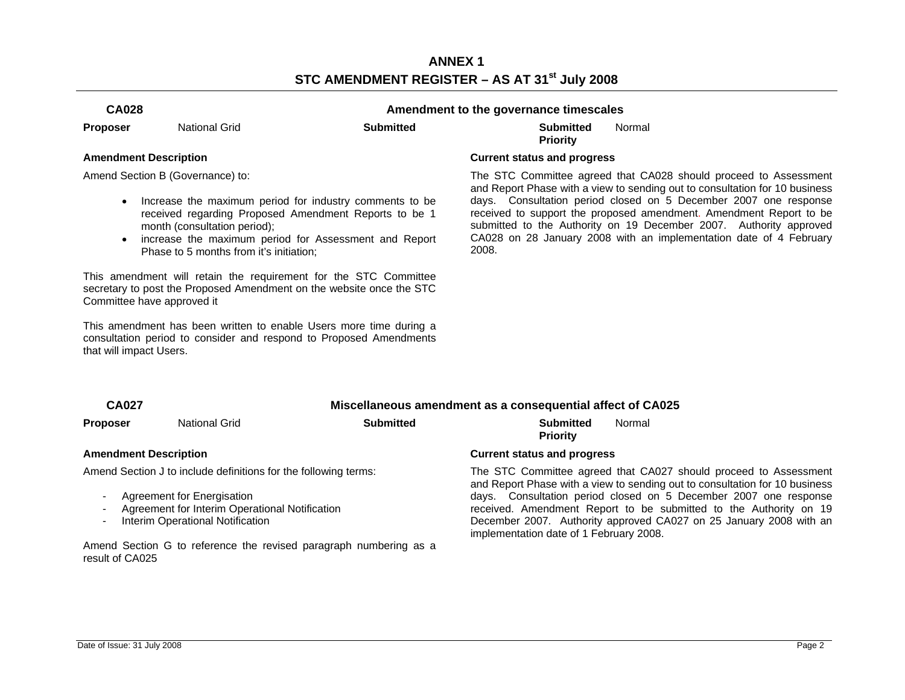# **ANNEX 1 STC AMENDMENT REGISTER – AS AT 31st July 2008**

# **CA028 Amendment to the governance timescales**

**Proposer** National Grid **Submitted Submitted** 

**Priority**  Normal

Amend Section B (Governance) to:

- Increase the maximum period for industry comments to be received regarding Proposed Amendment Reports to be 1 month (consultation period);
- increase the maximum period for Assessment and Report Phase to 5 months from it's initiation;

This amendment will retain the requirement for the STC Committee secretary to post the Proposed Amendment on the website once the STC Committee have approved it

This amendment has been written to enable Users more time during a consultation period to consider and respond to Proposed Amendments that will impact Users.

### **Amendment Description Current status and progress**

 The STC Committee agreed that CA028 should proceed to Assessment and Report Phase with a view to sending out to consultation for 10 business days. Consultation period closed on 5 December 2007 one response received to support the proposed amendment. Amendment Report to be submitted to the Authority on 19 December 2007. Authority approved CA028 on 28 January 2008 with an implementation date of 4 February 2008.

# **CA027 Miscellaneous amendment as a consequential affect of CA025**

**Proposer** National Grid **Submitted Submitted** 

# Normal

Amend Section J to include definitions for the following terms:

- Agreement for Energisation
- Agreement for Interim Operational Notification
- Interim Operational Notification

Amend Section G to reference the revised paragraph numbering as a result of CA025

# **Priority**

**Amendment Description Current status and progress** 

 The STC Committee agreed that CA027 should proceed to Assessment and Report Phase with a view to sending out to consultation for 10 business days. Consultation period closed on 5 December 2007 one response received. Amendment Report to be submitted to the Authority on 19 December 2007. Authority approved CA027 on 25 January 2008 with an implementation date of 1 February 2008.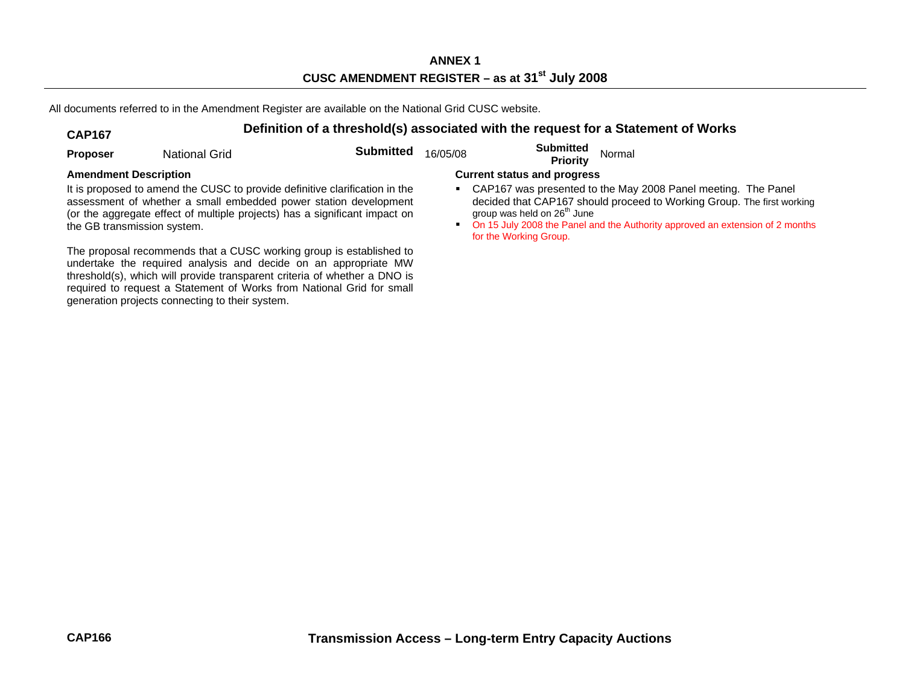All documents referred to in the Amendment Register are available on the National Grid CUSC website.

# **CAP167 Definition of a threshold(s) associated with the request for a Statement of Works**

| <b>Proposer</b>                                                                                                                                                                                                                                                                                                                                 | National Grid | <b>Submitted</b> | 16/05/08                                                                                                                                                                                                                                                                                                                            | <b>Submitted</b><br><b>Priority</b> | Normal |  |
|-------------------------------------------------------------------------------------------------------------------------------------------------------------------------------------------------------------------------------------------------------------------------------------------------------------------------------------------------|---------------|------------------|-------------------------------------------------------------------------------------------------------------------------------------------------------------------------------------------------------------------------------------------------------------------------------------------------------------------------------------|-------------------------------------|--------|--|
| <b>Amendment Description</b><br>It is proposed to amend the CUSC to provide definitive clarification in the<br>assessment of whether a small embedded power station development<br>(or the aggregate effect of multiple projects) has a significant impact on<br>the GB transmission system.                                                    |               |                  | <b>Current status and progress</b><br>CAP167 was presented to the May 2008 Panel meeting. The Panel<br>decided that CAP167 should proceed to Working Group. The first working<br>group was held on 26 <sup>th</sup> June<br>On 15 July 2008 the Panel and the Authority approved an extension of 2 months<br>for the Working Group. |                                     |        |  |
| The proposal recommends that a CUSC working group is established to<br>undertake the required analysis and decide on an appropriate MW<br>threshold(s), which will provide transparent criteria of whether a DNO is<br>required to request a Statement of Works from National Grid for small<br>generation projects connecting to their system. |               |                  |                                                                                                                                                                                                                                                                                                                                     |                                     |        |  |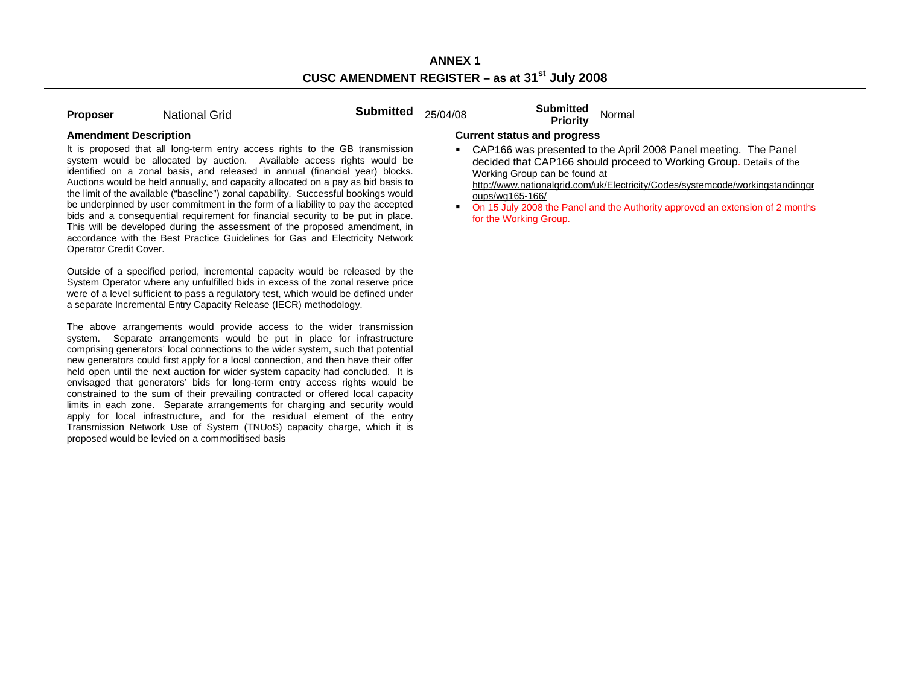| <b>Proposer</b> | <b>National Grid</b> |  |
|-----------------|----------------------|--|
|                 |                      |  |

**Proposer Submitted** 25/04/08 **Submitted** Normal **Priority** Normal

It is proposed that all long-term entry access rights to the GB transmission system would be allocated by auction. Available access rights would be identified on a zonal basis, and released in annual (financial year) blocks. Auctions would be held annually, and capacity allocated on a pay as bid basis to the limit of the available ("baseline") zonal capability. Successful bookings would be underpinned by user commitment in the form of a liability to pay the accepted bids and a consequential requirement for financial security to be put in place. This will be developed during the assessment of the proposed amendment, in accordance with the Best Practice Guidelines for Gas and Electricity Network Operator Credit Cover.

Outside of a specified period, incremental capacity would be released by the System Operator where any unfulfilled bids in excess of the zonal reserve price were of a level sufficient to pass a regulatory test, which would be defined under a separate Incremental Entry Capacity Release (IECR) methodology.

The above arrangements would provide access to the wider transmission system. Separate arrangements would be put in place for infrastructure comprising generators' local connections to the wider system, such that potential new generators could first apply for a local connection, and then have their offer held open until the next auction for wider system capacity had concluded. It is envisaged that generators' bids for long-term entry access rights would be constrained to the sum of their prevailing contracted or offered local capacity limits in each zone. Separate arrangements for charging and security would apply for local infrastructure, and for the residual element of the entry Transmission Network Use of System (TNUoS) capacity charge, which it is proposed would be levied on a commoditised basis

## **Amendment Description Current status and progress**

 CAP166 was presented to the April 2008 Panel meeting. The Panel decided that CAP166 should proceed to Working Group. Details of the Working Group can be found at

http://www.nationalgrid.com/uk/Electricity/Codes/systemcode/workingstandinggr oups/wg165-166/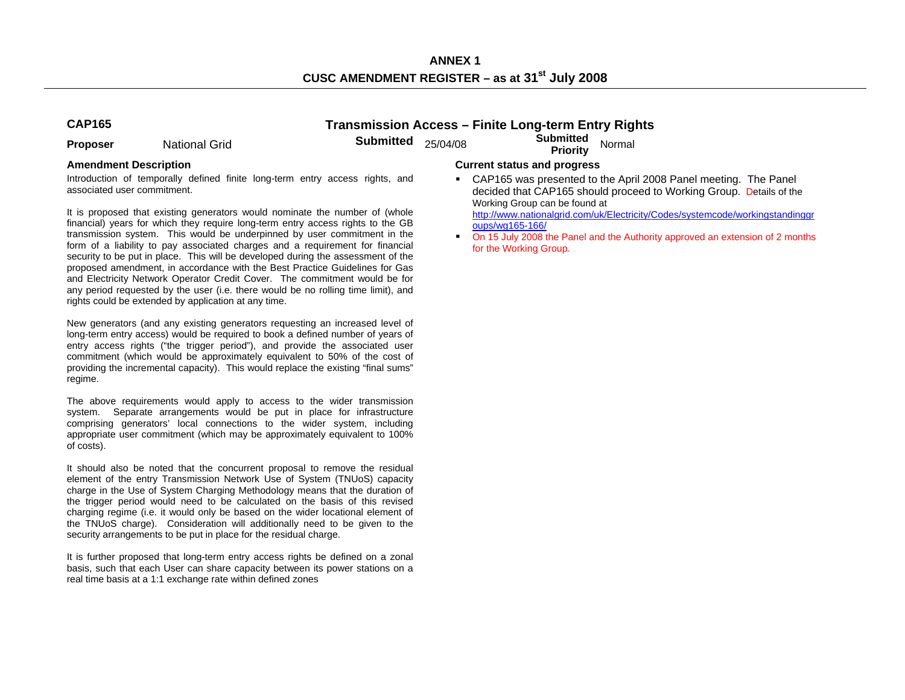**ANNEX 1 CUSC AMENDMENT REGISTER – as at 31st July 2008** 

# **CAP165 Transmission Access – Finite Long-term Entry Rights**

**Proposer** National Grid **Submitted** 25/04/08 **Submitted Priority** Normal

Introduction of temporally defined finite long-term entry access rights, and associated user commitment.

It is proposed that existing generators would nominate the number of (whole financial) years for which they require long-term entry access rights to the GB transmission system. This would be underpinned by user commitment in the form of a liability to pay associated charges and a requirement for financial security to be put in place. This will be developed during the assessment of the proposed amendment, in accordance with the Best Practice Guidelines for Gas and Electricity Network Operator Credit Cover. The commitment would be for any period requested by the user (i.e. there would be no rolling time limit), and rights could be extended by application at any time.

New generators (and any existing generators requesting an increased level of long-term entry access) would be required to book a defined number of years of entry access rights ("the trigger period"), and provide the associated user commitment (which would be approximately equivalent to 50% of the cost of providing the incremental capacity). This would replace the existing "final sums" regime.

The above requirements would apply to access to the wider transmission system. Separate arrangements would be put in place for infrastructure comprising generators' local connections to the wider system, including appropriate user commitment (which may be approximately equivalent to 100% of costs).

It should also be noted that the concurrent proposal to remove the residual element of the entry Transmission Network Use of System (TNUoS) capacity charge in the Use of System Charging Methodology means that the duration of the trigger period would need to be calculated on the basis of this revised charging regime (i.e. it would only be based on the wider locational element of the TNUoS charge). Consideration will additionally need to be given to the security arrangements to be put in place for the residual charge.

It is further proposed that long-term entry access rights be defined on a zonal basis, such that each User can share capacity between its power stations on a real time basis at a 1:1 exchange rate within defined zones

### **Amendment Description Current status and progress**

 CAP165 was presented to the April 2008 Panel meeting. The Panel decided that CAP165 should proceed to Working Group. Details of the Working Group can be found at

http://www.nationalgrid.com/uk/Electricity/Codes/systemcode/workingstandinggr oups/wg165-166/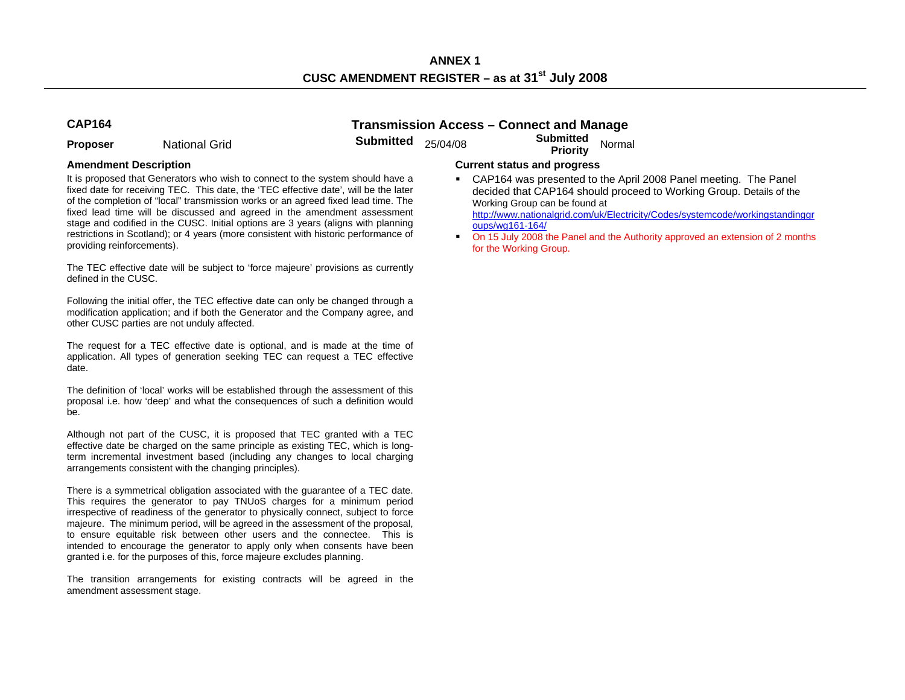**Proposer** National Grid **Submitted** 25/04/08 **Submitted Priority** Normal

# **CAP164 Transmission Access – Connect and Manage**

It is proposed that Generators who wish to connect to the system should have a fixed date for receiving TEC. This date, the 'TEC effective date', will be the later of the completion of "local" transmission works or an agreed fixed lead time. The fixed lead time will be discussed and agreed in the amendment assessment stage and codified in the CUSC. Initial options are 3 years (aligns with planning restrictions in Scotland); or 4 years (more consistent with historic performance of providing reinforcements).

The TEC effective date will be subject to 'force majeure' provisions as currently defined in the CUSC.

Following the initial offer, the TEC effective date can only be changed through a modification application; and if both the Generator and the Company agree, and other CUSC parties are not unduly affected.

The request for a TEC effective date is optional, and is made at the time of application. All types of generation seeking TEC can request a TEC effective date.

The definition of 'local' works will be established through the assessment of this proposal i.e. how 'deep' and what the consequences of such a definition would be.

Although not part of the CUSC, it is proposed that TEC granted with a TEC effective date be charged on the same principle as existing TEC, which is longterm incremental investment based (including any changes to local charging arrangements consistent with the changing principles).

There is a symmetrical obligation associated with the guarantee of a TEC date. This requires the generator to pay TNUoS charges for a minimum period irrespective of readiness of the generator to physically connect, subject to force majeure. The minimum period, will be agreed in the assessment of the proposal, to ensure equitable risk between other users and the connectee. This is intended to encourage the generator to apply only when consents have been granted i.e. for the purposes of this, force majeure excludes planning.

The transition arrangements for existing contracts will be agreed in the amendment assessment stage.

## **Amendment Description Current status and progress**

 CAP164 was presented to the April 2008 Panel meeting. The Panel decided that CAP164 should proceed to Working Group. Details of the Working Group can be found at

http://www.nationalgrid.com/uk/Electricity/Codes/systemcode/workingstandinggr oups/wg161-164/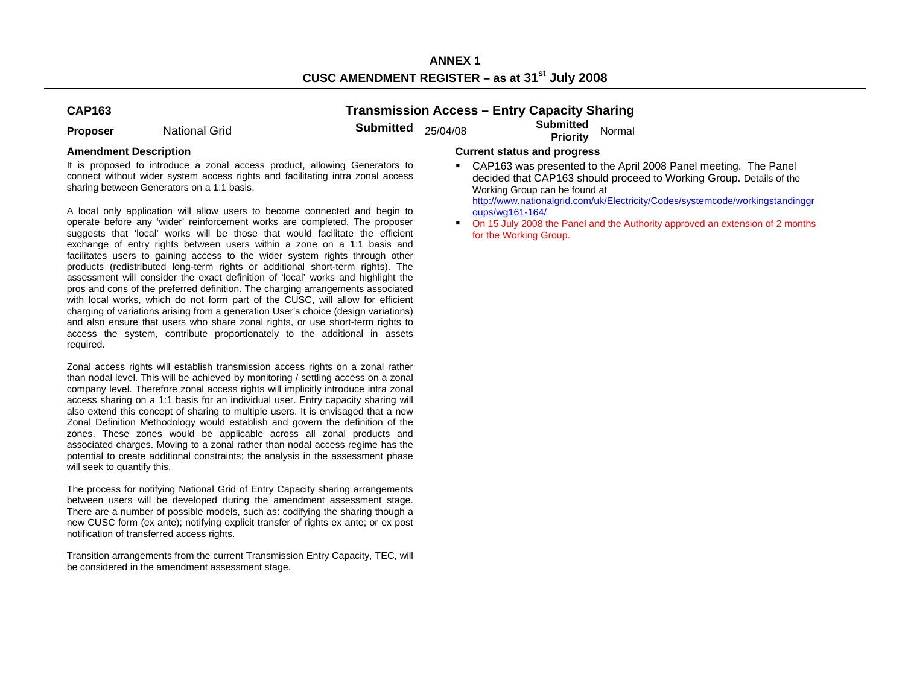# **CAP163**

**Transmission Access – Entry Capacity Sharing** 

**Proposer** National Grid **Submitted** 25/04/08 **Submitted Priority** Normal

It is proposed to introduce a zonal access product, allowing Generators to connect without wider system access rights and facilitating intra zonal access sharing between Generators on a 1:1 basis.

A local only application will allow users to become connected and begin to operate before any 'wider' reinforcement works are completed. The proposer suggests that 'local' works will be those that would facilitate the efficient exchange of entry rights between users within a zone on a 1:1 basis and facilitates users to gaining access to the wider system rights through other products (redistributed long-term rights or additional short-term rights). The assessment will consider the exact definition of 'local' works and highlight the pros and cons of the preferred definition. The charging arrangements associated with local works, which do not form part of the CUSC, will allow for efficient charging of variations arising from a generation User's choice (design variations) and also ensure that users who share zonal rights, or use short-term rights to access the system, contribute proportionately to the additional in assets required.

Zonal access rights will establish transmission access rights on a zonal rather than nodal level. This will be achieved by monitoring / settling access on a zonal company level. Therefore zonal access rights will implicitly introduce intra zonal access sharing on a 1:1 basis for an individual user. Entry capacity sharing will also extend this concept of sharing to multiple users. It is envisaged that a new Zonal Definition Methodology would establish and govern the definition of the zones. These zones would be applicable across all zonal products and associated charges. Moving to a zonal rather than nodal access regime has the potential to create additional constraints; the analysis in the assessment phase will seek to quantify this.

The process for notifying National Grid of Entry Capacity sharing arrangements between users will be developed during the amendment assessment stage. There are a number of possible models, such as: codifying the sharing though a new CUSC form (ex ante); notifying explicit transfer of rights ex ante; or ex post notification of transferred access rights.

Transition arrangements from the current Transmission Entry Capacity, TEC, will be considered in the amendment assessment stage.

## **Amendment Description Current status and progress**

 CAP163 was presented to the April 2008 Panel meeting. The Panel decided that CAP163 should proceed to Working Group. Details of the Working Group can be found at http://www.nationalgrid.com/uk/Electricity/Codes/systemcode/workingstandinggr

oups/wg161-164/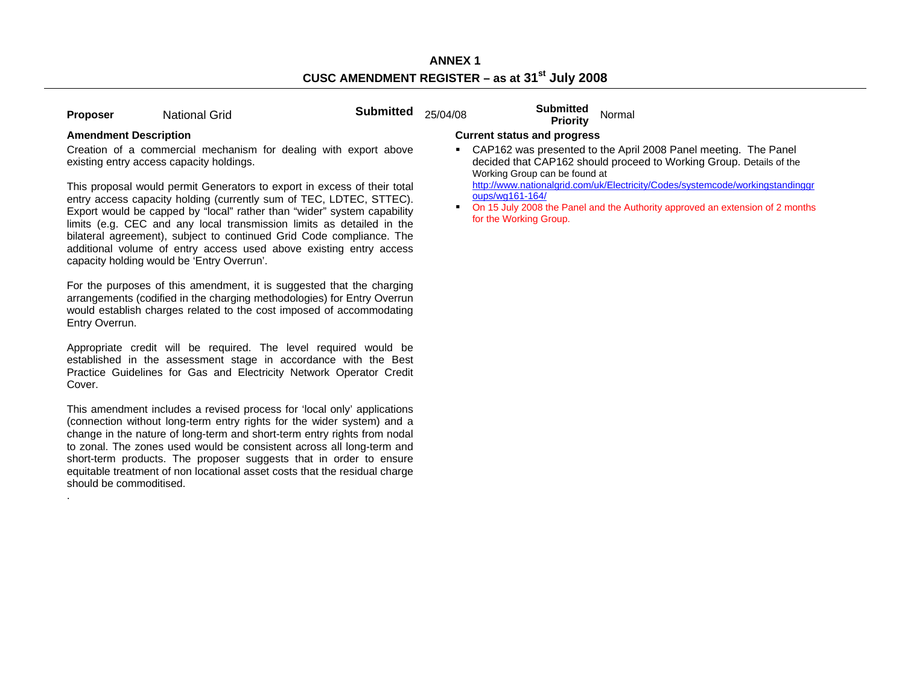| Proposer | <b>National Grid</b> |
|----------|----------------------|
|          |                      |

**Proposer Submitted** 25/04/08 **Submitted** Normal **Priority** Normal

.

Creation of a commercial mechanism for dealing with export above existing entry access capacity holdings.

This proposal would permit Generators to export in excess of their total entry access capacity holding (currently sum of TEC, LDTEC, STTEC). Export would be capped by "local" rather than "wider" system capability limits (e.g. CEC and any local transmission limits as detailed in the bilateral agreement), subject to continued Grid Code compliance. The additional volume of entry access used above existing entry access capacity holding would be 'Entry Overrun'.

For the purposes of this amendment, it is suggested that the charging arrangements (codified in the charging methodologies) for Entry Overrun would establish charges related to the cost imposed of accommodating Entry Overrun.

Appropriate credit will be required. The level required would be established in the assessment stage in accordance with the Best Practice Guidelines for Gas and Electricity Network Operator Credit Cover.

This amendment includes a revised process for 'local only' applications (connection without long-term entry rights for the wider system) and a change in the nature of long-term and short-term entry rights from nodal to zonal. The zones used would be consistent across all long-term and short-term products. The proposer suggests that in order to ensure equitable treatment of non locational asset costs that the residual charge should be commoditised.

# **Amendment Description Current status and progress**

 CAP162 was presented to the April 2008 Panel meeting. The Panel decided that CAP162 should proceed to Working Group. Details of the Working Group can be found at

http://www.nationalgrid.com/uk/Electricity/Codes/systemcode/workingstandinggr oups/wg161-164/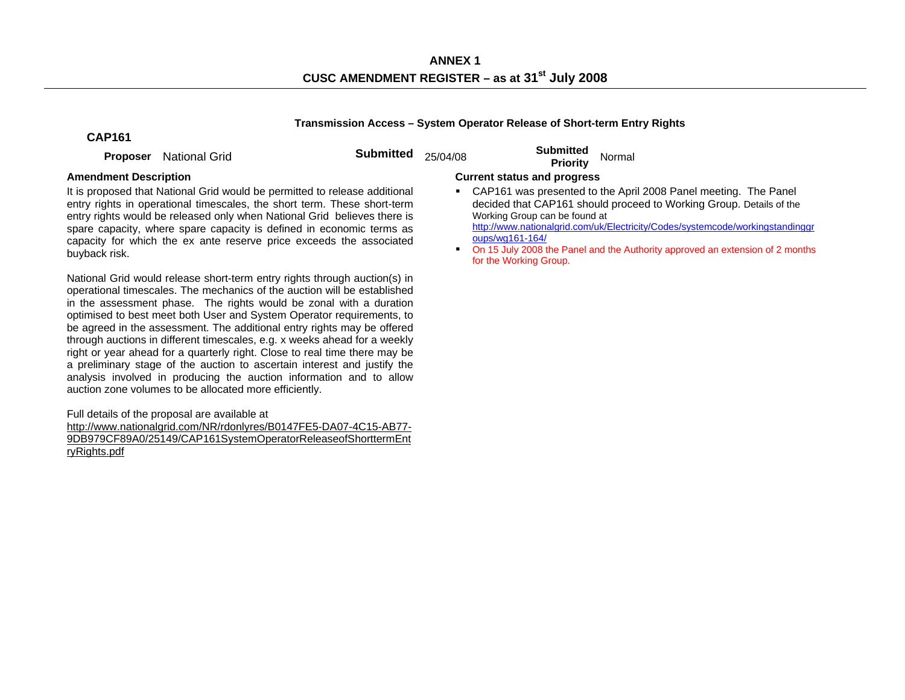**ANNEX 1 CUSC AMENDMENT REGISTER – as at 31st July 2008** 

### **Transmission Access – System Operator Release of Short-term Entry Rights**

# **CAP161**

**Proposer** National Grid **Submitted** 25/04/08 **Submitted Proposer** National Grid

It is proposed that National Grid would be permitted to release additional entry rights in operational timescales, the short term. These short-term entry rights would be released only when National Grid believes there is spare capacity, where spare capacity is defined in economic terms as capacity for which the ex ante reserve price exceeds the associated buyback risk.

National Grid would release short-term entry rights through auction(s) in operational timescales. The mechanics of the auction will be established in the assessment phase. The rights would be zonal with a duration optimised to best meet both User and System Operator requirements, to be agreed in the assessment. The additional entry rights may be offered through auctions in different timescales, e.g. x weeks ahead for a weekly right or year ahead for a quarterly right. Close to real time there may be a preliminary stage of the auction to ascertain interest and justify the analysis involved in producing the auction information and to allow auction zone volumes to be allocated more efficiently.

Full details of the proposal are available at

http://www.nationalgrid.com/NR/rdonlyres/B0147FE5-DA07-4C15-AB77- 9DB979CF89A0/25149/CAP161SystemOperatorReleaseofShorttermEnt ryRights.pdf

## **Amendment Description Current status and progress**

- CAP161 was presented to the April 2008 Panel meeting. The Panel decided that CAP161 should proceed to Working Group. Details of the Working Group can be found at http://www.nationalgrid.com/uk/Electricity/Codes/systemcode/workingstandinggr oups/wg161-164/
- On 15 July 2008 the Panel and the Authority approved an extension of 2 months for the Working Group.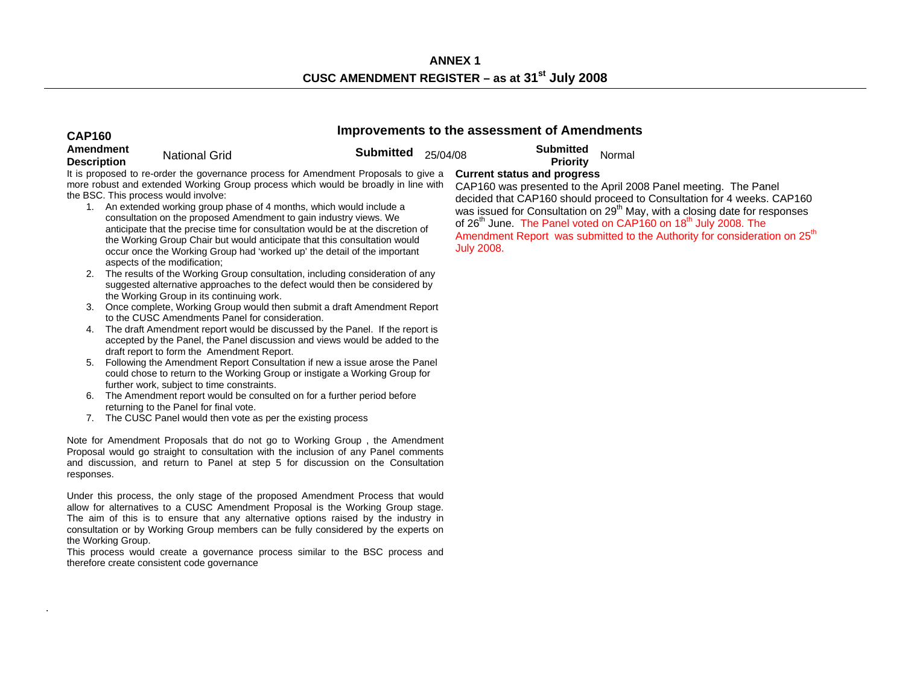# **CAP160 Improvements to the assessment of Amendments Amendment Description** National Grid **Submitted** 25/04/08 **Submitted Priority** Normal

.

It is proposed to re-order the governance process for Amendment Proposals to give a more robust and extended Working Group process which would be broadly in line with the BSC. This process would involve:

- 1. An extended working group phase of 4 months, which would include a consultation on the proposed Amendment to gain industry views. We anticipate that the precise time for consultation would be at the discretion of the Working Group Chair but would anticipate that this consultation would occur once the Working Group had 'worked up' the detail of the important aspects of the modification;
- 2. The results of the Working Group consultation, including consideration of any suggested alternative approaches to the defect would then be considered by the Working Group in its continuing work.
- 3. Once complete, Working Group would then submit a draft Amendment Report to the CUSC Amendments Panel for consideration.
- 4. The draft Amendment report would be discussed by the Panel. If the report is accepted by the Panel, the Panel discussion and views would be added to the draft report to form the Amendment Report.
- 5. Following the Amendment Report Consultation if new a issue arose the Panel could chose to return to the Working Group or instigate a Working Group for further work, subject to time constraints.
- 6. The Amendment report would be consulted on for a further period before returning to the Panel for final vote.
- 7. The CUSC Panel would then vote as per the existing process

Note for Amendment Proposals that do not go to Working Group , the Amendment Proposal would go straight to consultation with the inclusion of any Panel comments and discussion, and return to Panel at step 5 for discussion on the Consultation responses.

Under this process, the only stage of the proposed Amendment Process that would allow for alternatives to a CUSC Amendment Proposal is the Working Group stage. The aim of this is to ensure that any alternative options raised by the industry in consultation or by Working Group members can be fully considered by the experts on the Working Group.

This process would create a governance process similar to the BSC process and therefore create consistent code governance

# **Current status and progress**

CAP160 was presented to the April 2008 Panel meeting. The Panel decided that CAP160 should proceed to Consultation for 4 weeks. CAP160 was issued for Consultation on 29<sup>th</sup> May, with a closing date for responses of 26<sup>th</sup> June. The Panel voted on CAP160 on 18<sup>th</sup> July 2008. The Amendment Report was submitted to the Authority for consideration on 25<sup>th</sup> July 2008.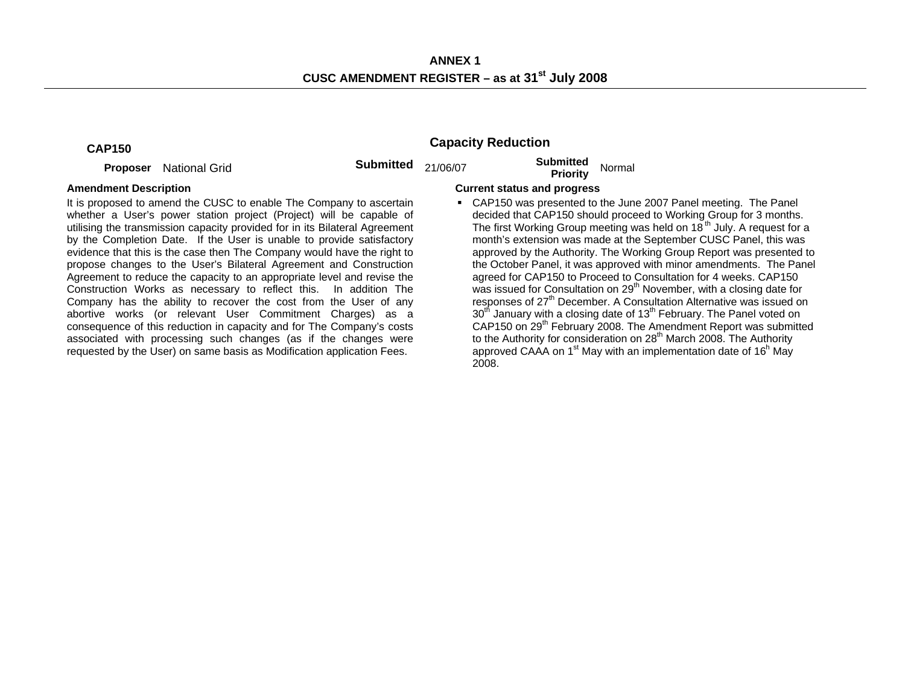**Proposer** National Grid **Submitted** 21/06/07 **Submitted Priority** Normal

# **CAP150 Capacity Reduction**

It is proposed to amend the CUSC to enable The Company to ascertain whether a User's power station project (Project) will be capable of utilising the transmission capacity provided for in its Bilateral Agreement by the Completion Date. If the User is unable to provide satisfactory evidence that this is the case then The Company would have the right to propose changes to the User's Bilateral Agreement and Construction Agreement to reduce the capacity to an appropriate level and revise the Construction Works as necessary to reflect this. In addition The Company has the ability to recover the cost from the User of any abortive works (or relevant User Commitment Charges) as a consequence of this reduction in capacity and for The Company's costs associated with processing such changes (as if the changes were requested by the User) on same basis as Modification application Fees.

# **Amendment Description Current status and progress**

 CAP150 was presented to the June 2007 Panel meeting. The Panel decided that CAP150 should proceed to Working Group for 3 months. The first Working Group meeting was held on  $18<sup>th</sup>$  July. A request for a month's extension was made at the September CUSC Panel, this was approved by the Authority. The Working Group Report was presented to the October Panel, it was approved with minor amendments. The Panel agreed for CAP150 to Proceed to Consultation for 4 weeks. CAP150 was issued for Consultation on 29<sup>th</sup> November, with a closing date for responses of 27<sup>th</sup> December. A Consultation Alternative was issued on  $30<sup>th</sup>$  January with a closing date of 13<sup>th</sup> February. The Panel voted on CAP150 on 29<sup>th</sup> February 2008. The Amendment Report was submitted to the Authority for consideration on 28<sup>th</sup> March 2008. The Authority approved CAAA on  $1<sup>st</sup>$  May with an implementation date of  $16<sup>h</sup>$  May 2008.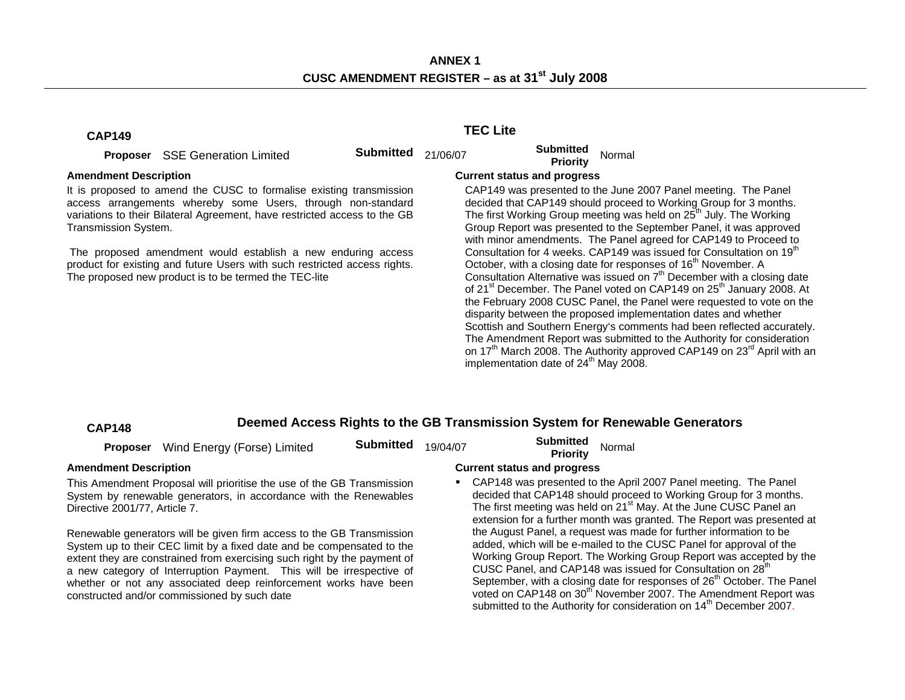# **CAP149 TEC Lite**

**Proposer** SSE Generation Limited **Submitted** 21/06/07 **Submitted Priority** Normal

It is proposed to amend the CUSC to formalise existing transmission access arrangements whereby some Users, through non-standard variations to their Bilateral Agreement, have restricted access to the GB Transmission System.

 The proposed amendment would establish a new enduring access product for existing and future Users with such restricted access rights. The proposed new product is to be termed the TEC-lite

# Amendment Description **Current status and progress Current status and progress**

 CAP149 was presented to the June 2007 Panel meeting. The Panel decided that CAP149 should proceed to Working Group for 3 months. The first Working Group meeting was held on  $25<sup>th</sup>$  July. The Working Group Report was presented to the September Panel, it was approved with minor amendments. The Panel agreed for CAP149 to Proceed to Consultation for 4 weeks. CAP149 was issued for Consultation on 19<sup>th</sup> October, with a closing date for responses of 16<sup>th</sup> November. A Consultation Alternative was issued on  $7<sup>th</sup>$  December with a closing date of 21<sup>st</sup> December. The Panel voted on CAP149 on 25<sup>th</sup> January 2008. At the February 2008 CUSC Panel, the Panel were requested to vote on the disparity between the proposed implementation dates and whether Scottish and Southern Energy's comments had been reflected accurately. The Amendment Report was submitted to the Authority for consideration on  $17<sup>th</sup>$  March 2008. The Authority approved CAP149 on  $23<sup>rd</sup>$  April with an implementation date of  $24<sup>th</sup>$  May 2008.

# **CAP148 Deemed Access Rights to the GB Transmission System for Renewable Generators**

|                               | Proposer Wind Energy (Forse) Limited                                                                                                            | <b>Submitted</b> | 19/04/07 | <b>Submitted</b><br>Priority       | Normal                                                                                                                                                                                                                                                                                         |
|-------------------------------|-------------------------------------------------------------------------------------------------------------------------------------------------|------------------|----------|------------------------------------|------------------------------------------------------------------------------------------------------------------------------------------------------------------------------------------------------------------------------------------------------------------------------------------------|
| <b>Amendment Description</b>  |                                                                                                                                                 |                  |          | <b>Current status and progress</b> |                                                                                                                                                                                                                                                                                                |
| Directive 2001/77, Article 7. | This Amendment Proposal will prioritise the use of the GB Transmission<br>System by renewable generators, in accordance with the Renewables     |                  |          |                                    | • CAP148 was presented to the April 2007 Panel meeting. The Panel<br>decided that CAP148 should proceed to Working Group for 3 months.<br>The first meeting was held on 21 <sup>st</sup> May. At the June CUSC Panel an<br>extension for a further month was granted. The Report was presented |
|                               | Renewable generators will be given firm access to the GB Transmission<br>System up to their CEC limit by a fixed date and be compensated to the |                  |          |                                    | the August Panel, a request was made for further information to be<br>added, which will be e-mailed to the CUSC Panel for approval of the<br>Medica Occup Depart The Wedian Occup Department consisted but                                                                                     |

extent they are constrained from exercising such right by the payment of a new category of Interruption Payment. This will be irrespective of whether or not any associated deep reinforcement works have been constructed and/or commissioned by such date

June CUSC Panel an e Report was presented at ther information to be anel for approval of the Working Group Report. The Working Group Report was accepted by the CUSC Panel, and CAP148 was issued for Consultation on 28<sup>th</sup> September, with a closing date for responses of 26<sup>th</sup> October. The Panel voted on CAP148 on 30<sup>th</sup> November 2007. The Amendment Report was submitted to the Authority for consideration on 14<sup>th</sup> December 2007.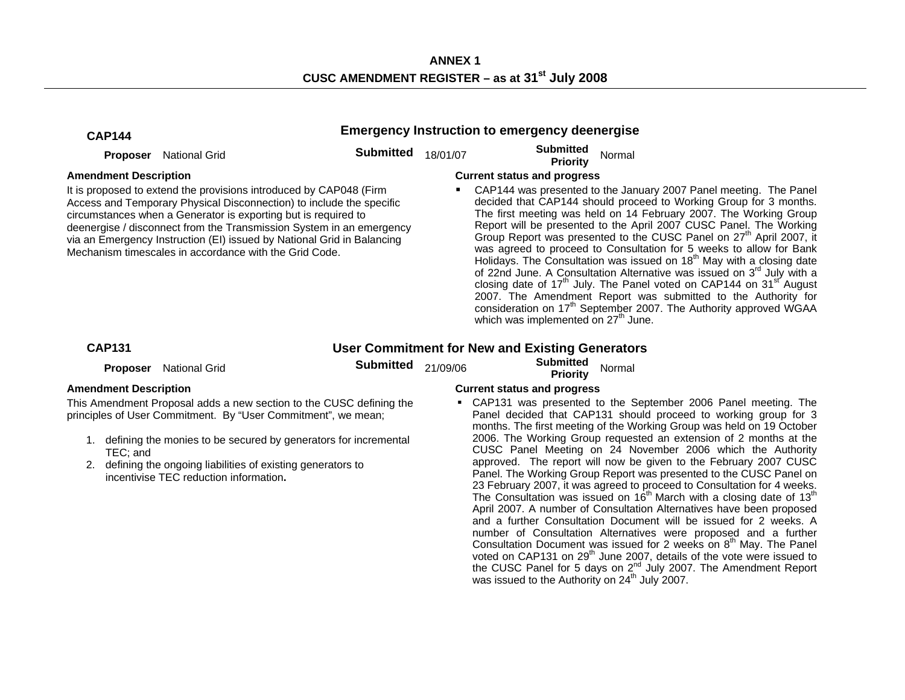| <b>CAP144</b>                            |                                                                                                                                                                                                                                                                                                                                                                                                                          |                  |          | <b>Emergency Instruction to emergency deenergise</b>                                  |                                                                                                                                                                                                                                                                                                                                                                                                                                                                                                                                                                                                                                                                                                                                                                                                                                                                                      |
|------------------------------------------|--------------------------------------------------------------------------------------------------------------------------------------------------------------------------------------------------------------------------------------------------------------------------------------------------------------------------------------------------------------------------------------------------------------------------|------------------|----------|---------------------------------------------------------------------------------------|--------------------------------------------------------------------------------------------------------------------------------------------------------------------------------------------------------------------------------------------------------------------------------------------------------------------------------------------------------------------------------------------------------------------------------------------------------------------------------------------------------------------------------------------------------------------------------------------------------------------------------------------------------------------------------------------------------------------------------------------------------------------------------------------------------------------------------------------------------------------------------------|
| <b>Proposer</b>                          | <b>National Grid</b>                                                                                                                                                                                                                                                                                                                                                                                                     | <b>Submitted</b> | 18/01/07 | <b>Submitted</b><br><b>Priority</b>                                                   | Normal                                                                                                                                                                                                                                                                                                                                                                                                                                                                                                                                                                                                                                                                                                                                                                                                                                                                               |
| <b>Amendment Description</b>             | It is proposed to extend the provisions introduced by CAP048 (Firm<br>Access and Temporary Physical Disconnection) to include the specific<br>circumstances when a Generator is exporting but is required to<br>deenergise / disconnect from the Transmission System in an emergency<br>via an Emergency Instruction (EI) issued by National Grid in Balancing<br>Mechanism timescales in accordance with the Grid Code. |                  |          | <b>Current status and progress</b><br>which was implemented on 27 <sup>th</sup> June. | CAP144 was presented to the January 2007 Panel meeting. The Panel<br>decided that CAP144 should proceed to Working Group for 3 months.<br>The first meeting was held on 14 February 2007. The Working Group<br>Report will be presented to the April 2007 CUSC Panel. The Working<br>Group Report was presented to the CUSC Panel on 27 <sup>th</sup> April 2007, it<br>was agreed to proceed to Consultation for 5 weeks to allow for Bank<br>Holidays. The Consultation was issued on 18 <sup>th</sup> May with a closing date<br>of 22nd June. A Consultation Alternative was issued on 3rd July with a<br>closing date of 17 <sup>th</sup> July. The Panel voted on CAP144 on 31 <sup>st</sup> August<br>2007. The Amendment Report was submitted to the Authority for<br>consideration on 17 <sup>th</sup> September 2007. The Authority approved WGAA                          |
| <b>CAP131</b>                            |                                                                                                                                                                                                                                                                                                                                                                                                                          |                  |          | <b>User Commitment for New and Existing Generators</b>                                |                                                                                                                                                                                                                                                                                                                                                                                                                                                                                                                                                                                                                                                                                                                                                                                                                                                                                      |
| <b>Proposer</b>                          | <b>National Grid</b>                                                                                                                                                                                                                                                                                                                                                                                                     | <b>Submitted</b> | 21/09/06 | <b>Submitted</b><br><b>Priority</b>                                                   | Normal                                                                                                                                                                                                                                                                                                                                                                                                                                                                                                                                                                                                                                                                                                                                                                                                                                                                               |
| <b>Amendment Description</b><br>TEC; and | This Amendment Proposal adds a new section to the CUSC defining the<br>principles of User Commitment. By "User Commitment", we mean;<br>1. defining the monies to be secured by generators for incremental<br>2. defining the ongoing liabilities of existing generators to<br>incentivise TEC reduction information.                                                                                                    |                  |          | <b>Current status and progress</b>                                                    | • CAP131 was presented to the September 2006 Panel meeting. The<br>Panel decided that CAP131 should proceed to working group for 3<br>months. The first meeting of the Working Group was held on 19 October<br>2006. The Working Group requested an extension of 2 months at the<br>CUSC Panel Meeting on 24 November 2006 which the Authority<br>approved. The report will now be given to the February 2007 CUSC<br>Panel. The Working Group Report was presented to the CUSC Panel on<br>23 February 2007, it was agreed to proceed to Consultation for 4 weeks.<br>The Consultation was issued on 16 <sup>th</sup> March with a closing date of 13 <sup>th</sup><br>April 2007. A number of Consultation Alternatives have been proposed<br>and a further Consultation Document will be issued for 2 weeks. A<br>number of Consultation Alternatives were proposed and a further |

Consultation Document was issued for 2 weeks on  $8<sup>th</sup>$  May. The Panel voted on CAP131 on 29<sup>th</sup> June 2007, details of the vote were issued to the CUSC Panel for 5 days on  $2^{nd}$  July 2007. The Amendment Report

was issued to the Authority on  $24^{th}$  July 2007.